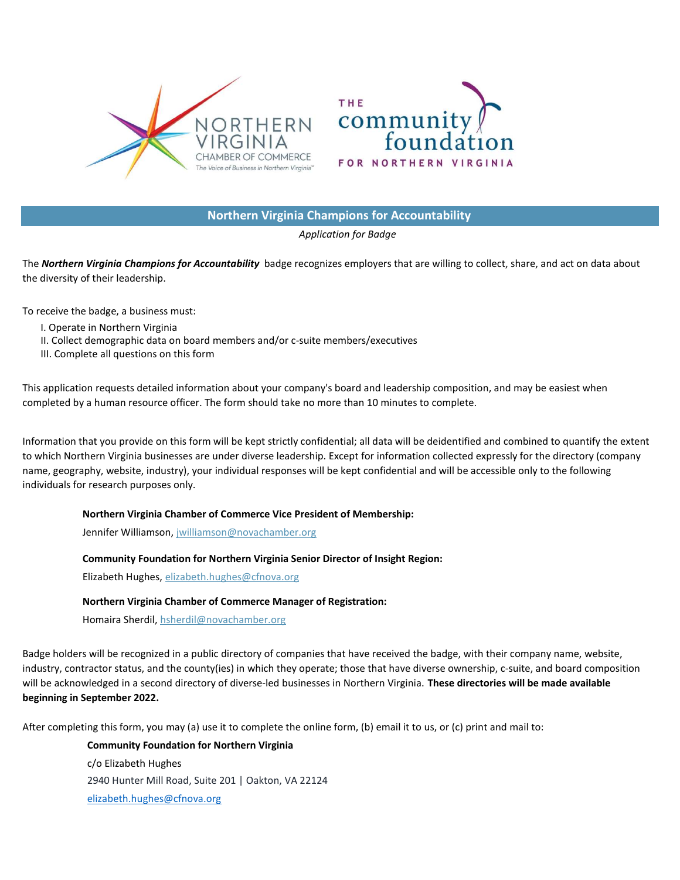



# Northern Virginia Champions for Accountability

## Application for Badge

The Northern Virginia Champions for Accountability badge recognizes employers that are willing to collect, share, and act on data about the diversity of their leadership.

To receive the badge, a business must:

- I. Operate in Northern Virginia
- II. Collect demographic data on board members and/or c-suite members/executives
- III. Complete all questions on this form

This application requests detailed information about your company's board and leadership composition, and may be easiest when completed by a human resource officer. The form should take no more than 10 minutes to complete.

Information that you provide on this form will be kept strictly confidential; all data will be deidentified and combined to quantify the extent to which Northern Virginia businesses are under diverse leadership. Except for information collected expressly for the directory (company name, geography, website, industry), your individual responses will be kept confidential and will be accessible only to the following individuals for research purposes only.

## Northern Virginia Chamber of Commerce Vice President of Membership:

Jennifer Williamson, jwilliamson@novachamber.org

## Community Foundation for Northern Virginia Senior Director of Insight Region:

Elizabeth Hughes, elizabeth.hughes@cfnova.org

## Northern Virginia Chamber of Commerce Manager of Registration:

Homaira Sherdil, hsherdil@novachamber.org

Badge holders will be recognized in a public directory of companies that have received the badge, with their company name, website, industry, contractor status, and the county(ies) in which they operate; those that have diverse ownership, c-suite, and board composition will be acknowledged in a second directory of diverse-led businesses in Northern Virginia. These directories will be made available beginning in September 2022.

After completing this form, you may (a) use it to complete the online form, (b) email it to us, or (c) print and mail to:

Community Foundation for Northern Virginia c/o Elizabeth Hughes 2940 Hunter Mill Road, Suite 201 | Oakton, VA 22124 elizabeth.hughes@cfnova.org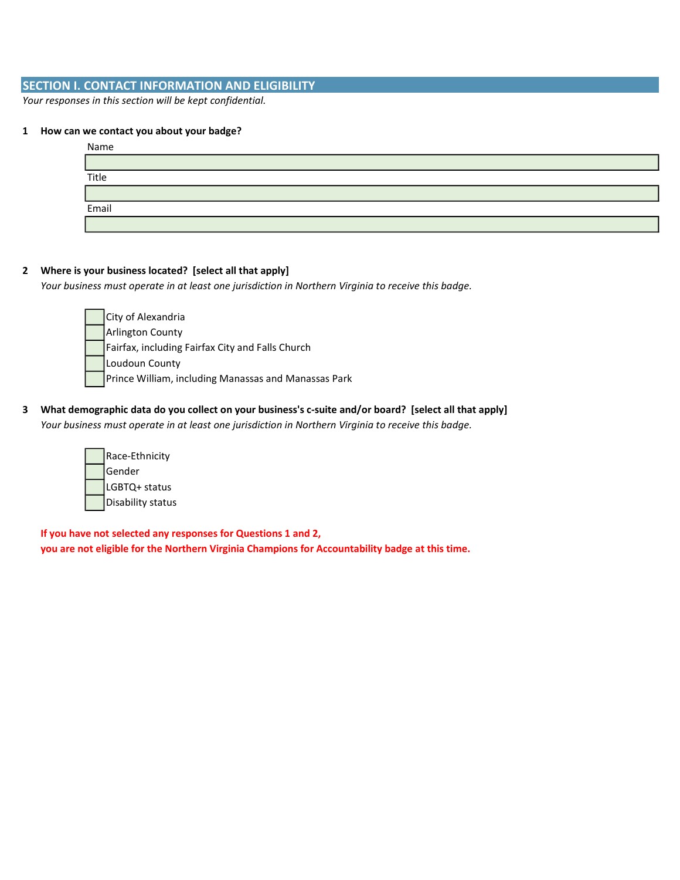# SECTION I. CONTACT INFORMATION AND ELIGIBILITY

Your responses in this section will be kept confidential.

#### 1 How can we contact you about your badge?

| Name  |  |
|-------|--|
|       |  |
| Title |  |
|       |  |
| Email |  |
|       |  |

## 2 Where is your business located? [select all that apply]

Your business must operate in at least one jurisdiction in Northern Virginia to receive this badge.

- City of Alexandria Arlington County Fairfax, including Fairfax City and Falls Church Loudoun County Prince William, including Manassas and Manassas Park
- 3 What demographic data do you collect on your business's c-suite and/or board? [select all that apply] Your business must operate in at least one jurisdiction in Northern Virginia to receive this badge.

| Race-Ethnicity    |
|-------------------|
| Gender            |
| LGBTQ+ status     |
| Disability status |

If you have not selected any responses for Questions 1 and 2, you are not eligible for the Northern Virginia Champions for Accountability badge at this time.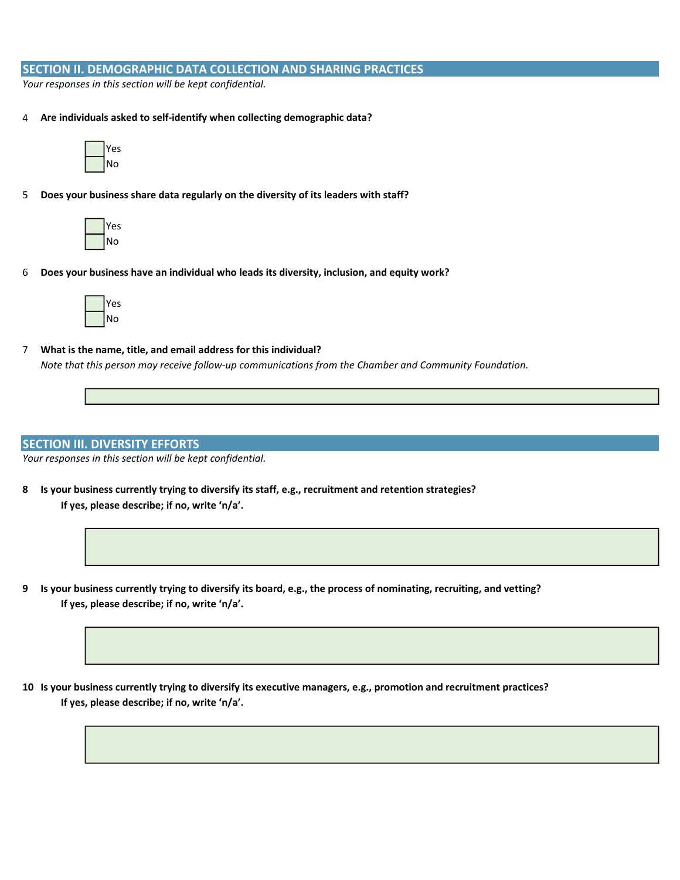## SECTION II. DEMOGRAPHIC DATA COLLECTION AND SHARING PRACTICES

Your responses in this section will be kept confidential.

4 Are individuals asked to self-identify when collecting demographic data?



5 Does your business share data regularly on the diversity of its leaders with staff?



6 Does your business have an individual who leads its diversity, inclusion, and equity work?



7 What is the name, title, and email address for this individual? Note that this person may receive follow-up communications from the Chamber and Community Foundation.

### SECTION III. DIVERSITY EFFORTS

Your responses in this section will be kept confidential.

- 8 Is your business currently trying to diversify its staff, e.g., recruitment and retention strategies? If yes, please describe; if no, write 'n/a'.
- 9 Is your business currently trying to diversify its board, e.g., the process of nominating, recruiting, and vetting? If yes, please describe; if no, write 'n/a'.

10 Is your business currently trying to diversify its executive managers, e.g., promotion and recruitment practices? If yes, please describe; if no, write 'n/a'.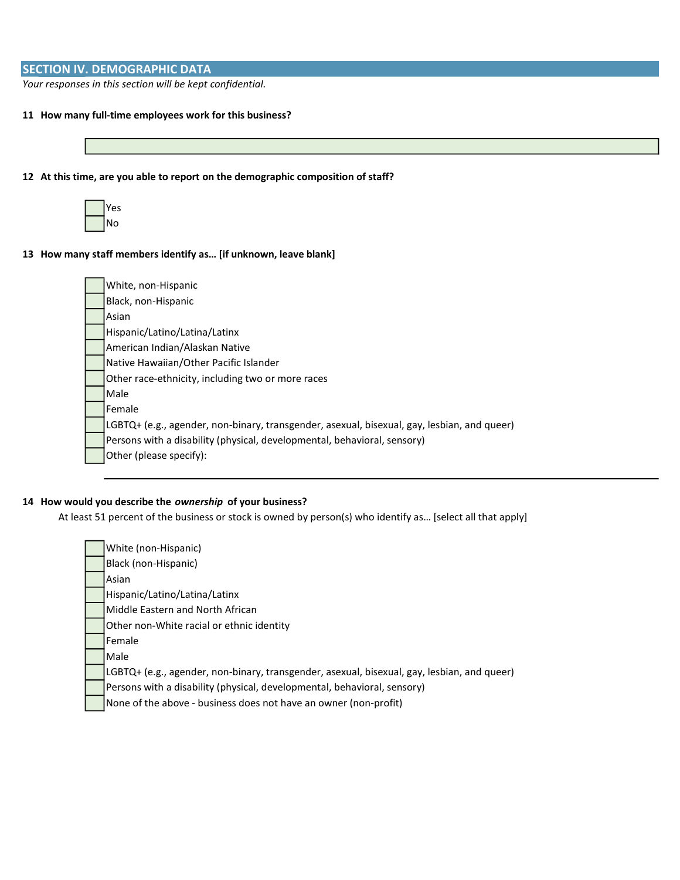# SECTION IV. DEMOGRAPHIC DATA

Your responses in this section will be kept confidential.

- 11 How many full-time employees work for this business?
- 12 At this time, are you able to report on the demographic composition of staff?



13 How many staff members identify as… [if unknown, leave blank]

| White, non-Hispanic                                                                         |
|---------------------------------------------------------------------------------------------|
| Black, non-Hispanic                                                                         |
| Asian                                                                                       |
| Hispanic/Latino/Latina/Latinx                                                               |
| American Indian/Alaskan Native                                                              |
| Native Hawaiian/Other Pacific Islander                                                      |
| Other race-ethnicity, including two or more races                                           |
| Male                                                                                        |
| Female                                                                                      |
| LGBTQ+ (e.g., agender, non-binary, transgender, asexual, bisexual, gay, lesbian, and queer) |
| Persons with a disability (physical, developmental, behavioral, sensory)                    |
| Other (please specify):                                                                     |

## 14 How would you describe the ownership of your business?

At least 51 percent of the business or stock is owned by person(s) who identify as… [select all that apply]

| White (non-Hispanic)                                                                        |
|---------------------------------------------------------------------------------------------|
| Black (non-Hispanic)                                                                        |
| Asian                                                                                       |
| Hispanic/Latino/Latina/Latinx                                                               |
| Middle Eastern and North African                                                            |
| Other non-White racial or ethnic identity                                                   |
| Female                                                                                      |
| Male                                                                                        |
| LGBTQ+ (e.g., agender, non-binary, transgender, asexual, bisexual, gay, lesbian, and queer) |
| Persons with a disability (physical, developmental, behavioral, sensory)                    |
| None of the above - business does not have an owner (non-profit)                            |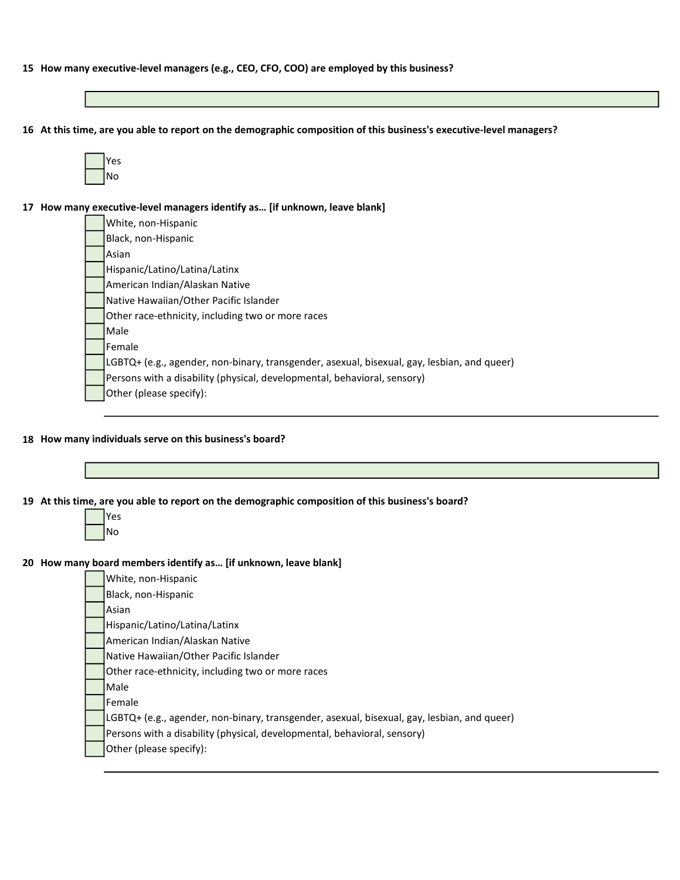- 15 How many executive-level managers (e.g., CEO, CFO, COO) are employed by this business?
- 16 At this time, are you able to report on the demographic composition of this business's executive-level managers?

| ς<br>r |
|--------|
| Nο     |

17 How many executive-level managers identify as… [if unknown, leave blank]

White, non-Hispanic Black, non-Hispanic Asian Hispanic/Latino/Latina/Latinx American Indian/Alaskan Native Native Hawaiian/Other Pacific Islander Other race-ethnicity, including two or more races Male Female LGBTQ+ (e.g., agender, non-binary, transgender, asexual, bisexual, gay, lesbian, and queer) Persons with a disability (physical, developmental, behavioral, sensory) Other (please specify):

#### 18 How many individuals serve on this business's board?



| White, non-Hispanic                                                                         |
|---------------------------------------------------------------------------------------------|
| Black, non-Hispanic                                                                         |
| Asian                                                                                       |
| Hispanic/Latino/Latina/Latinx                                                               |
| American Indian/Alaskan Native                                                              |
| Native Hawaiian/Other Pacific Islander                                                      |
| Other race-ethnicity, including two or more races                                           |
| Male                                                                                        |
| Female                                                                                      |
| LGBTQ+ (e.g., agender, non-binary, transgender, asexual, bisexual, gay, lesbian, and queer) |
| Persons with a disability (physical, developmental, behavioral, sensory)                    |
| Other (please specify):                                                                     |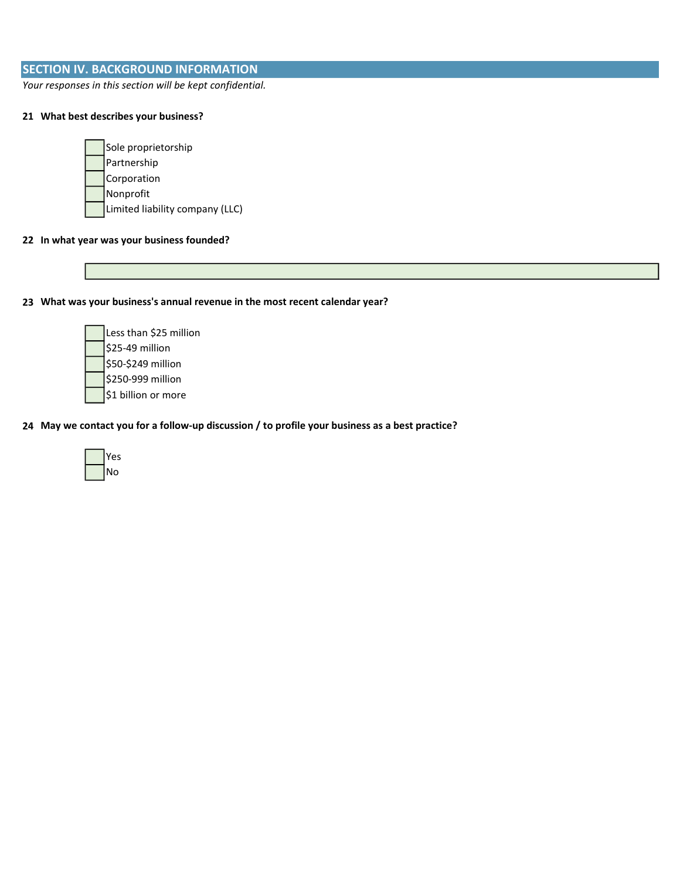# SECTION IV. BACKGROUND INFORMATION

Your responses in this section will be kept confidential.

## 21 What best describes your business?

| Sole proprietorship             |
|---------------------------------|
| Partnership                     |
| Corporation                     |
| Nonprofit                       |
| Limited liability company (LLC) |

#### 22 In what year was your business founded?

23 What was your business's annual revenue in the most recent calendar year?

Less than \$25 million \$25-49 million \$50-\$249 million \$250-999 million \$1 billion or more

## 24 May we contact you for a follow-up discussion / to profile your business as a best practice?

| ٢S     |
|--------|
| J<br>റ |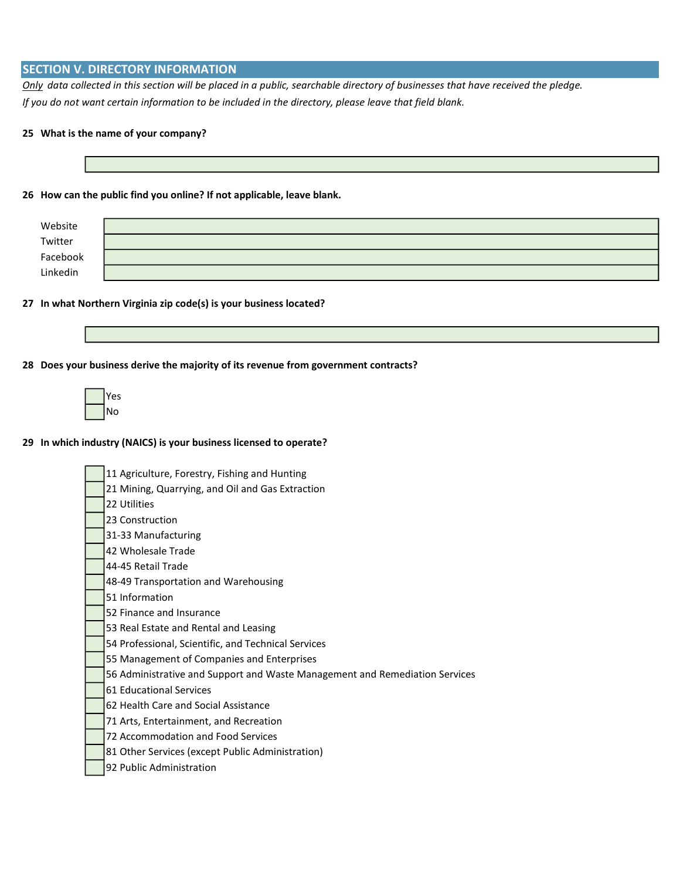## SECTION V. DIRECTORY INFORMATION

Only data collected in this section will be placed in a public, searchable directory of businesses that have received the pledge. If you do not want certain information to be included in the directory, please leave that field blank.

### 25 What is the name of your company?

#### 26 How can the public find you online? If not applicable, leave blank.

| Website  |  |
|----------|--|
| Twitter  |  |
| Facebook |  |
| Linkedin |  |

#### 27 In what Northern Virginia zip code(s) is your business located?

28 Does your business derive the majority of its revenue from government contracts?

| ς |
|---|
| o |

#### 29 In which industry (NAICS) is your business licensed to operate?

11 Agriculture, Forestry, Fishing and Hunting 21 Mining, Quarrying, and Oil and Gas Extraction 22 Utilities 23 Construction 31-33 Manufacturing 42 Wholesale Trade 44-45 Retail Trade 48-49 Transportation and Warehousing 51 Information 52 Finance and Insurance 53 Real Estate and Rental and Leasing 54 Professional, Scientific, and Technical Services 55 Management of Companies and Enterprises 56 Administrative and Support and Waste Management and Remediation Services 61 Educational Services 62 Health Care and Social Assistance 71 Arts, Entertainment, and Recreation 72 Accommodation and Food Services 81 Other Services (except Public Administration) 92 Public Administration